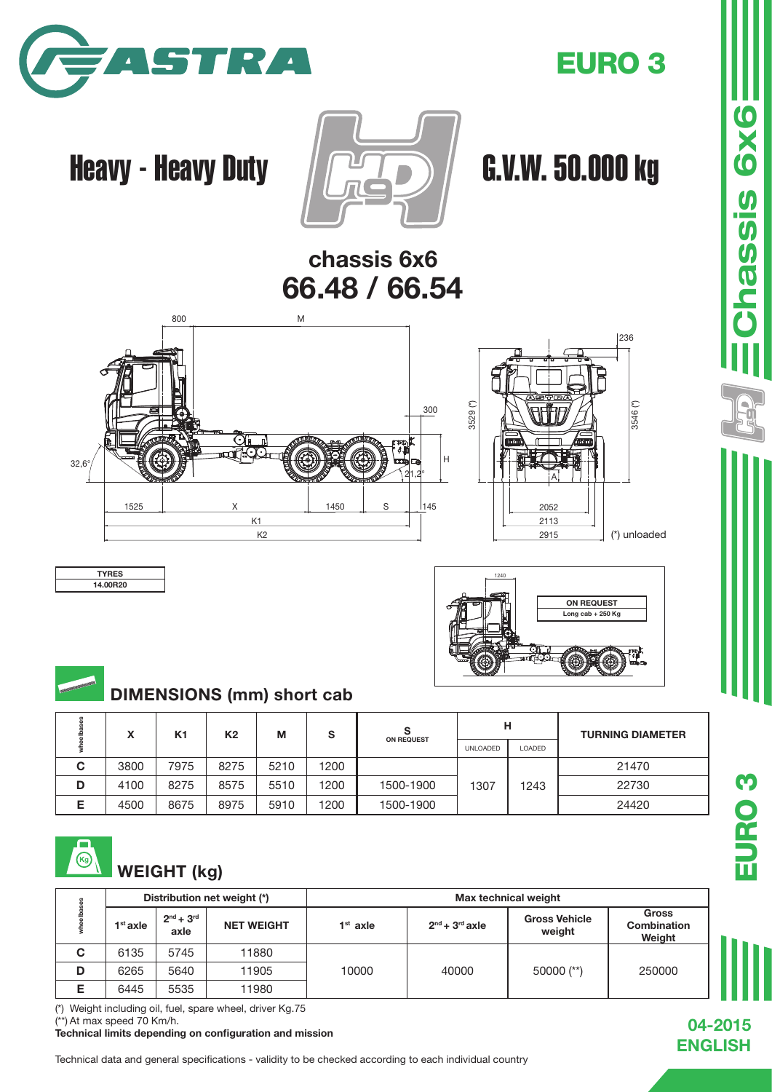

## EURO 3

# Heavy - Heavy Duty  $\sqrt{2\pi}$  G.V.W. 50.000 kg











### DIMENSIONS (mm) short cab

|   | X    | K <sub>1</sub> | K <sub>2</sub> | М    | s    | S<br><b>ON REQUEST</b> | н               |        | <b>TURNING DIAMETER</b> |
|---|------|----------------|----------------|------|------|------------------------|-----------------|--------|-------------------------|
|   |      |                |                |      |      |                        | <b>UNLOADED</b> | LOADED |                         |
| С | 3800 | 7975           | 8275           | 5210 | 1200 |                        |                 |        | 21470                   |
| D | 4100 | 8275           | 8575           | 5510 | 1200 | 1500-1900              | 1307            | 1243   | 22730                   |
| Е | 4500 | 8675           | 8975           | 5910 | 1200 | 1500-1900              |                 |        | 24420                   |



### WEIGHT (kg)

|                                 |                          | <b>Heavy - Heavy Duty</b>                                                                                                    |           |                           |               |                              |                 |                          |                                |                                          | G.V.W. 50.000 kg                      | 6        |
|---------------------------------|--------------------------|------------------------------------------------------------------------------------------------------------------------------|-----------|---------------------------|---------------|------------------------------|-----------------|--------------------------|--------------------------------|------------------------------------------|---------------------------------------|----------|
|                                 |                          |                                                                                                                              |           |                           |               | chassis 6x6<br>66.48 / 66.54 |                 |                          |                                |                                          |                                       |          |
| $32,6^\circ$                    | 1525                     | 800                                                                                                                          | ௌ<br>Χ    | M<br>K1<br>K <sub>2</sub> | 1450          | S                            | 300<br>н<br>145 | 3529 (*)                 | trea<br>2052<br>2113<br>2915   |                                          | 236<br>3546 (*)<br>(*) unloaded       | ECnassis |
|                                 | <b>TYRES</b><br>14.00R20 | <b>DIMENSIONS (mm) short cab</b>                                                                                             |           |                           |               |                              |                 | 1240                     |                                | <b>ON REQUEST</b><br>Long cab + $250$ Kg |                                       | ч у      |
| wheelbases                      | X                        | <b>K1</b>                                                                                                                    | <b>K2</b> | М                         | ${\mathsf s}$ | s<br>ON REQUEST              |                 | н<br>UNLOADED            | LOADED                         |                                          | <b>TURNING DIAMETER</b>               |          |
| $\mathbf C$                     | 3800                     | 7975                                                                                                                         | 8275      | 5210                      | 1200          |                              |                 |                          |                                |                                          | 21470                                 |          |
| D                               | 4100                     | 8275                                                                                                                         | 8575      | 5510                      | 1200          | 1500-1900                    |                 | 1307                     | 1243                           |                                          | 22730                                 |          |
| Е                               | 4500                     | 8675                                                                                                                         | 8975      | 5910                      | 1200          | 1500-1900                    |                 |                          |                                |                                          | 24420                                 |          |
| <b>ISB</b><br>$\bigcirc$        |                          | <b>WEIGHT (kg)</b>                                                                                                           |           |                           |               |                              |                 |                          |                                |                                          |                                       | EURO 3   |
|                                 |                          | Distribution net weight (*)                                                                                                  |           |                           |               |                              |                 | Max technical weight     |                                |                                          |                                       |          |
| wheelbases                      | $1st$ axle               | $2nd + 3rd$<br>axle                                                                                                          |           | <b>NET WEIGHT</b>         |               | $1st$ axle                   |                 | $2^{nd}$ + $3^{rd}$ axle | <b>Gross Vehicle</b><br>weight |                                          | <b>Gross</b><br>Combination<br>Weight |          |
| $\mathbf c$                     | 6135                     | 5745                                                                                                                         |           | 11880                     |               |                              |                 |                          |                                |                                          |                                       |          |
| D                               | 6265                     | 5640                                                                                                                         |           | 11905                     |               | 10000                        |                 | 40000                    | 50000 (**)                     |                                          | 250000                                |          |
| Е<br>(**) At max speed 70 Km/h. | 6445                     | 5535<br>(*) Weight including oil, fuel, spare wheel, driver Kg.75<br>Technical limits depending on configuration and mission |           | 11980                     |               |                              |                 |                          |                                |                                          | 04-2015<br><b>ENGLISH</b>             |          |

Technical data and general specifications - validity to be checked according to each individual country

Chassis 6x6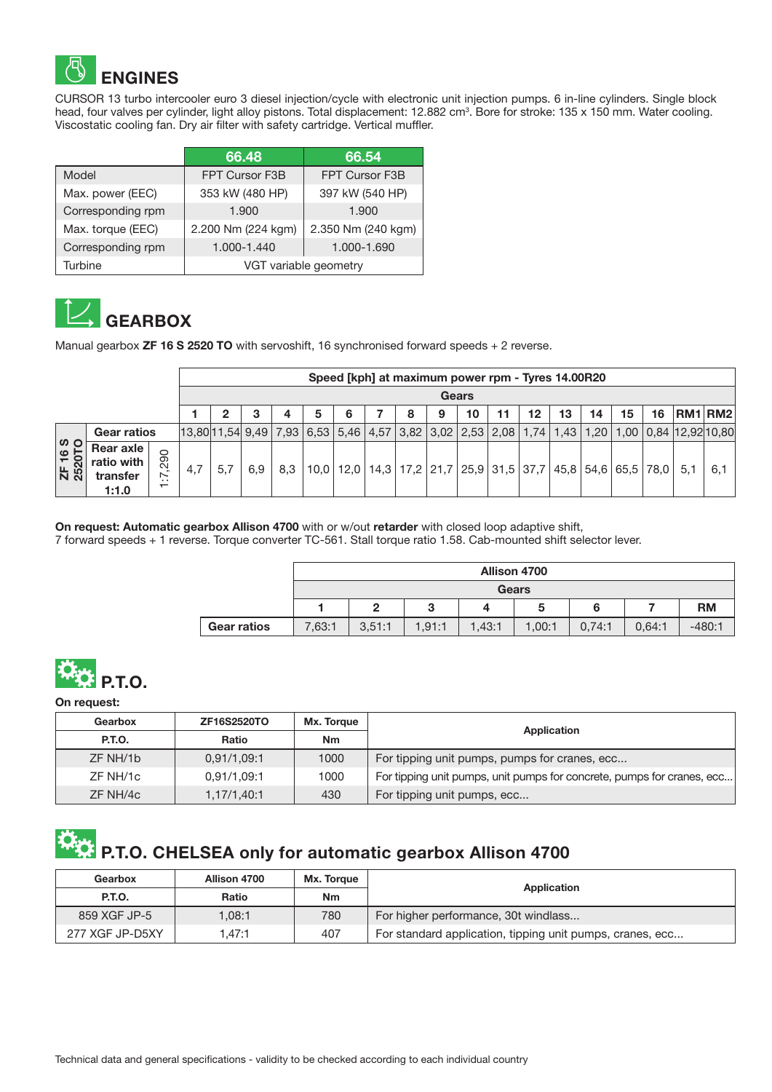

CURSOR 13 turbo intercooler euro 3 diesel injection/cycle with electronic unit injection pumps. 6 in-line cylinders. Single block head, four valves per cylinder, light alloy pistons. Total displacement: 12.882 cm<sup>3</sup>. Bore for stroke: 135 x 150 mm. Water cooling. Viscostatic cooling fan. Dry air filter with safety cartridge. Vertical muffler.

|                   | 66.48                 | 66.54              |
|-------------------|-----------------------|--------------------|
| Model             | FPT Cursor F3B        | FPT Cursor F3B     |
| Max. power (EEC)  | 353 kW (480 HP)       | 397 kW (540 HP)    |
| Corresponding rpm | 1.900                 | 1.900              |
| Max. torque (EEC) | 2.200 Nm (224 kgm)    | 2.350 Nm (240 kgm) |
| Corresponding rpm | 1.000-1.440           | 1.000-1.690        |
| Turbine           | VGT variable geometry |                    |



Manual gearbox ZF 16 S 2520 TO with servoshift, 16 synchronised forward speeds + 2 reverse.

|                   |                                              |                                                                    |     | Speed [kph] at maximum power rpm - Tyres 14.00R20 |     |     |   |               |  |   |   |                                                                                                                                           |    |    |    |    |    |    |     |         |
|-------------------|----------------------------------------------|--------------------------------------------------------------------|-----|---------------------------------------------------|-----|-----|---|---------------|--|---|---|-------------------------------------------------------------------------------------------------------------------------------------------|----|----|----|----|----|----|-----|---------|
|                   |                                              |                                                                    |     | Gears                                             |     |     |   |               |  |   |   |                                                                                                                                           |    |    |    |    |    |    |     |         |
|                   |                                              |                                                                    |     | 2                                                 | З   | 4   | 5 | 6             |  | 8 | 9 | 10                                                                                                                                        | 11 | 12 | 13 | 14 | 15 | 16 |     | RM1 RM2 |
|                   | <b>Gear ratios</b>                           |                                                                    |     |                                                   |     |     |   |               |  |   |   |                                                                                                                                           |    |    |    |    |    |    |     |         |
| ZF 16 S<br>2520TO | Rear axle<br>ratio with<br>transfer<br>1:1.0 | 290<br>$\overline{\phantom{0}}$<br>. .<br>$\overline{\phantom{0}}$ | 4,7 | 5,7                                               | 6,9 | 8.3 |   | $10.0$   12.0 |  |   |   | $\vert$ 14,3 $\vert$ 17,2 $\vert$ 21,7 $\vert$ 25,9 $\vert$ 31,5 $\vert$ 37,7 $\vert$ 45,8 $\vert$ 54,6 $\vert$ 65,5 $\vert$ 78,0 $\vert$ |    |    |    |    |    |    | 5.1 | 6,1     |

On request: Automatic gearbox Allison 4700 with or w/out retarder with closed loop adaptive shift,

7 forward speeds + 1 reverse. Torque converter TC-561. Stall torque ratio 1.58. Cab-mounted shift selector lever.

|                    |        | Allison 4700 |        |              |        |        |        |           |  |  |  |  |  |
|--------------------|--------|--------------|--------|--------------|--------|--------|--------|-----------|--|--|--|--|--|
|                    |        |              |        | <b>Gears</b> |        |        |        |           |  |  |  |  |  |
|                    |        | £            | ≏      |              | 5      |        |        | <b>RM</b> |  |  |  |  |  |
| <b>Gear ratios</b> | 7,63:1 | 3,51:1       | 1,91:1 | 1,43:1       | 1,00:1 | 0,74:1 | 0.64:1 | $-480:1$  |  |  |  |  |  |



#### On request:

| Gearbox       | <b>ZF16S2520TO</b> | Mx. Torque |                                                                        |  |  |
|---------------|--------------------|------------|------------------------------------------------------------------------|--|--|
| <b>P.T.O.</b> | Ratio              |            | Application                                                            |  |  |
| ZF NH/1b      | 0,91/1,09:1        | 1000       | For tipping unit pumps, pumps for cranes, ecc                          |  |  |
| ZF NH/1c      | 0,91/1,09:1        | 1000       | For tipping unit pumps, unit pumps for concrete, pumps for cranes, ecc |  |  |
| ZF NH/4c      | 1,17/1,40:1        | 430        | For tipping unit pumps, ecc                                            |  |  |

# P.T.O. CHELSEA only for automatic gearbox Allison 4700

| Gearbox         | Allison 4700 |           |                                                           |  |  |  |
|-----------------|--------------|-----------|-----------------------------------------------------------|--|--|--|
| <b>P.T.O.</b>   | Ratio        | <b>Nm</b> | Application                                               |  |  |  |
| 859 XGF JP-5    | 1.08:1       | 780       | For higher performance, 30t windlass                      |  |  |  |
| 277 XGF JP-D5XY | 1.47:1       | 407       | For standard application, tipping unit pumps, cranes, ecc |  |  |  |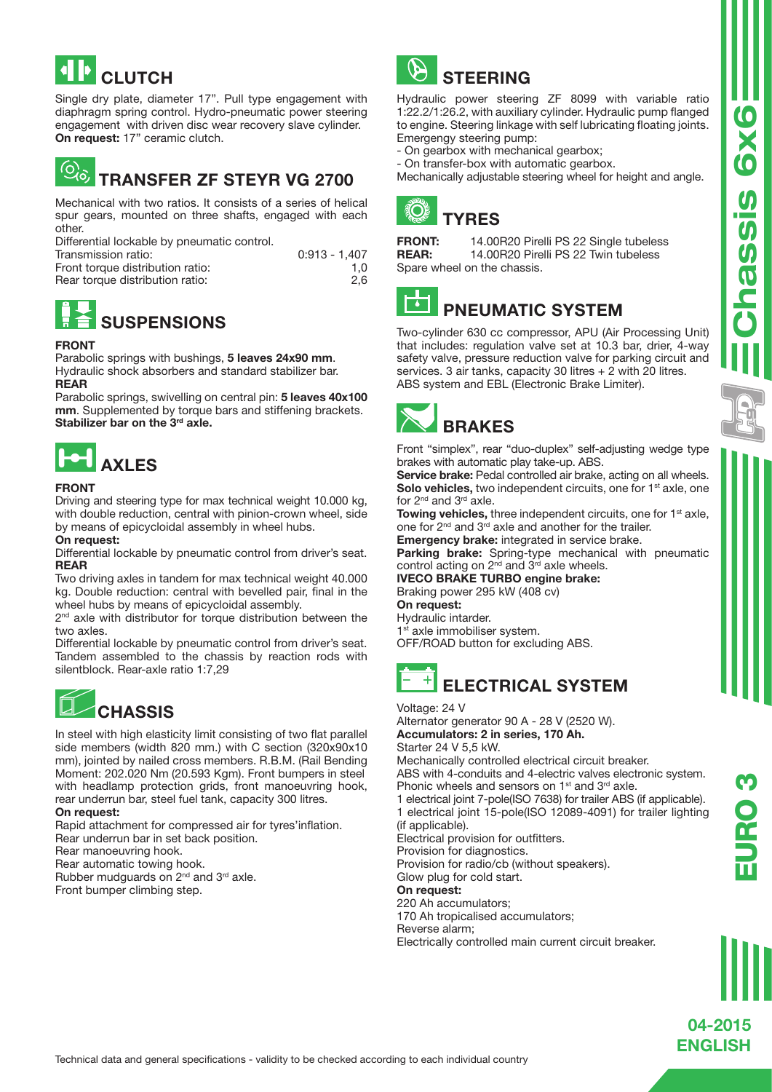

## **CLUTCH**

Single dry plate, diameter 17". Pull type engagement with diaphragm spring control. Hydro-pneumatic power steering engagement with driven disc wear recovery slave cylinder. On request: 17" ceramic clutch.

### $\bigcirc$ TRANSFER ZF STEYR VG 2700

Mechanical with two ratios. It consists of a series of helical spur gears, mounted on three shafts, engaged with each other.

| Differential lockable by pneumatic control. |               |
|---------------------------------------------|---------------|
| Transmission ratio:                         | 0:913 - 1.407 |
| Front torque distribution ratio:            | 1.0           |

| Front torque distribution ratio: |     |
|----------------------------------|-----|
| Rear torque distribution ratio:  | 2,6 |
|                                  |     |

## **SUSPENSIONS**

### FRONT

Parabolic springs with bushings, 5 leaves 24x90 mm. Hydraulic shock absorbers and standard stabilizer bar. REAR

Parabolic springs, swivelling on central pin: 5 leaves 40x100 mm. Supplemented by torque bars and stiffening brackets. Stabilizer bar on the 3rd axle.



### FRONT

Driving and steering type for max technical weight 10.000 kg, with double reduction, central with pinion-crown wheel, side by means of epicycloidal assembly in wheel hubs.

### On request:

Differential lockable by pneumatic control from driver's seat. REAR

Two driving axles in tandem for max technical weight 40.000 kg. Double reduction: central with bevelled pair, final in the wheel hubs by means of epicycloidal assembly.

2<sup>nd</sup> axle with distributor for torque distribution between the two axles.

Differential lockable by pneumatic control from driver's seat. Tandem assembled to the chassis by reaction rods with silentblock. Rear-axle ratio 1:7,29

## **CHASSIS**

In steel with high elasticity limit consisting of two flat parallel side members (width 820 mm.) with C section (320x90x10 mm), jointed by nailed cross members. R.B.M. (Rail Bending Moment: 202.020 Nm (20.593 Kgm). Front bumpers in steel with headlamp protection grids, front manoeuvring hook, rear underrun bar, steel fuel tank, capacity 300 litres.

On request:

Rapid attachment for compressed air for tyres'inflation.

Rear underrun bar in set back position.

Rear manoeuvring hook.

Rear automatic towing hook.

Rubber mudguards on 2<sup>nd</sup> and 3<sup>rd</sup> axle. Front bumper climbing step.



Hydraulic power steering ZF 8099 with variable ratio 1:22.2/1:26.2, with auxiliary cylinder. Hydraulic pump flanged to engine. Steering linkage with self lubricating floating joints. Emergengy steering pump:

- On gearbox with mechanical gearbox;

- On transfer-box with automatic gearbox.





**FRONT:** 14.00R20 Pirelli PS 22 Single tubeless<br> **REAR:** 14.00R20 Pirelli PS 22 Twin tubeless 14.00R20 Pirelli PS 22 Twin tubeless Spare wheel on the chassis.



### PNEUMATIC SYSTEM

Two-cylinder 630 cc compressor, APU (Air Processing Unit) that includes: regulation valve set at 10.3 bar, drier, 4-way safety valve, pressure reduction valve for parking circuit and services. 3 air tanks, capacity 30 litres + 2 with 20 litres. ABS system and EBL (Electronic Brake Limiter).

BRAKES

Front "simplex", rear "duo-duplex" self-adjusting wedge type brakes with automatic play take-up. ABS.

Service brake: Pedal controlled air brake, acting on all wheels. Solo vehicles, two independent circuits, one for 1<sup>st</sup> axle, one for 2<sup>nd</sup> and 3<sup>rd</sup> axle.

Towing vehicles, three independent circuits, one for 1<sup>st</sup> axle, one for 2nd and 3rd axle and another for the trailer.

Emergency brake: integrated in service brake.

Parking brake: Spring-type mechanical with pneumatic control acting on  $2<sup>nd</sup>$  and  $3<sup>rd</sup>$  axle wheels.

IVECO BRAKE TURBO engine brake: Braking power 295 kW (408 cv) On request:

Hydraulic intarder. 1st axle immobiliser system.

OFF/ROAD button for excluding ABS.



### Voltage: 24 V

Alternator generator 90 A - 28 V (2520 W). Accumulators: 2 in series, 170 Ah.

Starter 24 V 5,5 kW.

Mechanically controlled electrical circuit breaker.

ABS with 4-conduits and 4-electric valves electronic system. Phonic wheels and sensors on 1<sup>st</sup> and 3<sup>rd</sup> axle.

1 electrical joint 7-pole(ISO 7638) for trailer ABS (if applicable). 1 electrical joint 15-pole(ISO 12089-4091) for trailer lighting (if applicable).

Electrical provision for outfitters.

Provision for diagnostics.

Provision for radio/cb (without speakers). Glow plug for cold start.

On request:

220 Ah accumulators;

170 Ah tropicalised accumulators;

Reverse alarm;

Electrically controlled main current circuit breaker.